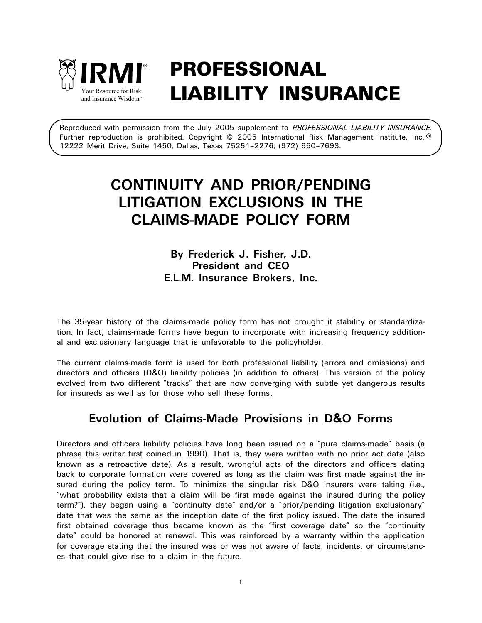

# PROFESSIONAL  $\mathbf{Y}_{\text{out} \; \text{Resource for Risk}}$  LIABILITY INSURANCE

Reproduced with permission from the July 2005 supplement to *PROFESSIONAL LIABILITY INSURANCE.* Further reproduction is prohibited. Copyright © 2005 International Risk Management Institute, Inc.,® 12222 Merit Drive, Suite 1450, Dallas, Texas 75251–2276; (972) 960–7693.

# **CONTINUITY AND PRIOR/PENDING LITIGATION EXCLUSIONS IN THE CLAIMS-MADE POLICY FORM**

## **By Frederick J. Fisher, J.D. President and CEO E.L.M. Insurance Brokers, Inc.**

The 35-year history of the claims-made policy form has not brought it stability or standardization. In fact, claims-made forms have begun to incorporate with increasing frequency additional and exclusionary language that is unfavorable to the policyholder.

The current claims-made form is used for both professional liability (errors and omissions) and directors and officers (D&O) liability policies (in addition to others). This version of the policy evolved from two different "tracks" that are now converging with subtle yet dangerous results for insureds as well as for those who sell these forms.

# **Evolution of Claims-Made Provisions in D&O Forms**

Directors and officers liability policies have long been issued on a "pure claims-made" basis (a phrase this writer first coined in 1990). That is, they were written with no prior act date (also known as a retroactive date). As a result, wrongful acts of the directors and officers dating back to corporate formation were covered as long as the claim was first made against the insured during the policy term. To minimize the singular risk D&O insurers were taking (i.e., "what probability exists that a claim will be first made against the insured during the policy term?"), they began using a "continuity date" and/or a "prior/pending litigation exclusionary" date that was the same as the inception date of the first policy issued. The date the insured first obtained coverage thus became known as the "first coverage date" so the "continuity date" could be honored at renewal. This was reinforced by a warranty within the application for coverage stating that the insured was or was not aware of facts, incidents, or circumstances that could give rise to a claim in the future.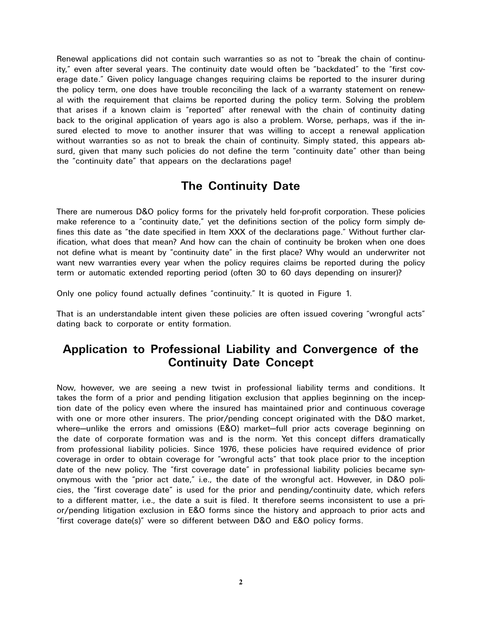Renewal applications did not contain such warranties so as not to "break the chain of continuity," even after several years. The continuity date would often be "backdated" to the "first coverage date." Given policy language changes requiring claims be reported to the insurer during the policy term, one does have trouble reconciling the lack of a warranty statement on renewal with the requirement that claims be reported during the policy term. Solving the problem that arises if a known claim is "reported" after renewal with the chain of continuity dating back to the original application of years ago is also a problem. Worse, perhaps, was if the insured elected to move to another insurer that was willing to accept a renewal application without warranties so as not to break the chain of continuity. Simply stated, this appears absurd, given that many such policies do not define the term "continuity date" other than being the "continuity date" that appears on the declarations page!

# **The Continuity Date**

There are numerous D&O policy forms for the privately held for-profit corporation. These policies make reference to a "continuity date," yet the definitions section of the policy form simply defines this date as "the date specified in Item XXX of the declarations page." Without further clarification, what does that mean? And how can the chain of continuity be broken when one does not define what is meant by "continuity date" in the first place? Why would an underwriter not want new warranties every year when the policy requires claims be reported during the policy term or automatic extended reporting period (often 30 to 60 days depending on insurer)?

Only one policy found actually defines "continuity." It is quoted in Figure 1.

That is an understandable intent given these policies are often issued covering "wrongful acts" dating back to corporate or entity formation.

# **Application to Professional Liability and Convergence of the Continuity Date Concept**

Now, however, we are seeing a new twist in professional liability terms and conditions. It takes the form of a prior and pending litigation exclusion that applies beginning on the inception date of the policy even where the insured has maintained prior and continuous coverage with one or more other insurers. The prior/pending concept originated with the D&O market, where—unlike the errors and omissions (E&O) market—full prior acts coverage beginning on the date of corporate formation was and is the norm. Yet this concept differs dramatically from professional liability policies. Since 1976, these policies have required evidence of prior coverage in order to obtain coverage for "wrongful acts" that took place prior to the inception date of the new policy. The "first coverage date" in professional liability policies became synonymous with the "prior act date," i.e., the date of the wrongful act. However, in D&O policies, the "first coverage date" is used for the prior and pending/continuity date, which refers to a different matter, i.e., the date a suit is filed. It therefore seems inconsistent to use a prior/pending litigation exclusion in E&O forms since the history and approach to prior acts and "first coverage date(s)" were so different between D&O and E&O policy forms.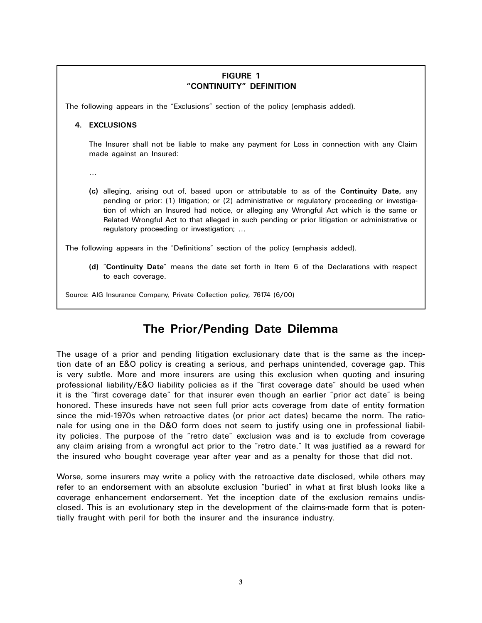### **FIGURE 1 "CONTINUITY" DEFINITION**

The following appears in the "Exclusions" section of the policy (emphasis added).

#### **4. EXCLUSIONS**

The Insurer shall not be liable to make any payment for Loss in connection with any Claim made against an Insured:

…

**(c)** alleging, arising out of, based upon or attributable to as of the **Continuity Date,** any pending or prior: (1) litigation; or (2) administrative or regulatory proceeding or investigation of which an Insured had notice, or alleging any Wrongful Act which is the same or Related Wrongful Act to that alleged in such pending or prior litigation or administrative or regulatory proceeding or investigation; …

The following appears in the "Definitions" section of the policy (emphasis added).

**(d)** "**Continuity Date**" means the date set forth in Item 6 of the Declarations with respect to each coverage.

Source: AIG Insurance Company, Private Collection policy, 76174 (6/00)

# **The Prior/Pending Date Dilemma**

The usage of a prior and pending litigation exclusionary date that is the same as the inception date of an E&O policy is creating a serious, and perhaps unintended, coverage gap. This is very subtle. More and more insurers are using this exclusion when quoting and insuring professional liability/E&O liability policies as if the "first coverage date" should be used when it is the "first coverage date" for that insurer even though an earlier "prior act date" is being honored. These insureds have not seen full prior acts coverage from date of entity formation since the mid-1970s when retroactive dates (or prior act dates) became the norm. The rationale for using one in the D&O form does not seem to justify using one in professional liability policies. The purpose of the "retro date" exclusion was and is to exclude from coverage any claim arising from a wrongful act prior to the "retro date." It was justified as a reward for the insured who bought coverage year after year and as a penalty for those that did not.

Worse, some insurers may write a policy with the retroactive date disclosed, while others may refer to an endorsement with an absolute exclusion "buried" in what at first blush looks like a coverage enhancement endorsement. Yet the inception date of the exclusion remains undisclosed. This is an evolutionary step in the development of the claims-made form that is potentially fraught with peril for both the insurer and the insurance industry.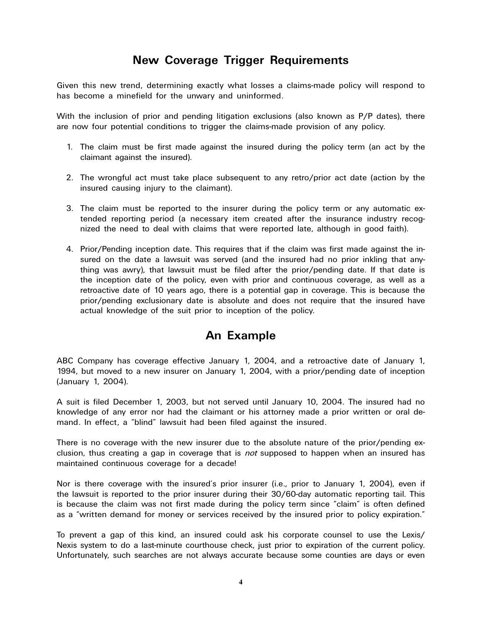# **New Coverage Trigger Requirements**

Given this new trend, determining exactly what losses a claims-made policy will respond to has become a minefield for the unwary and uninformed.

With the inclusion of prior and pending litigation exclusions (also known as P/P dates), there are now four potential conditions to trigger the claims-made provision of any policy.

- 1. The claim must be first made against the insured during the policy term (an act by the claimant against the insured).
- 2. The wrongful act must take place subsequent to any retro/prior act date (action by the insured causing injury to the claimant).
- 3. The claim must be reported to the insurer during the policy term or any automatic extended reporting period (a necessary item created after the insurance industry recognized the need to deal with claims that were reported late, although in good faith).
- 4. Prior/Pending inception date. This requires that if the claim was first made against the insured on the date a lawsuit was served (and the insured had no prior inkling that anything was awry), that lawsuit must be filed after the prior/pending date. If that date is the inception date of the policy, even with prior and continuous coverage, as well as a retroactive date of 10 years ago, there is a potential gap in coverage. This is because the prior/pending exclusionary date is absolute and does not require that the insured have actual knowledge of the suit prior to inception of the policy.

# **An Example**

ABC Company has coverage effective January 1, 2004, and a retroactive date of January 1, 1994, but moved to a new insurer on January 1, 2004, with a prior/pending date of inception (January 1, 2004).

A suit is filed December 1, 2003, but not served until January 10, 2004. The insured had no knowledge of any error nor had the claimant or his attorney made a prior written or oral demand. In effect, a "blind" lawsuit had been filed against the insured.

There is no coverage with the new insurer due to the absolute nature of the prior/pending exclusion, thus creating a gap in coverage that is *not* supposed to happen when an insured has maintained continuous coverage for a decade!

Nor is there coverage with the insured's prior insurer (i.e., prior to January 1, 2004), even if the lawsuit is reported to the prior insurer during their 30/60-day automatic reporting tail. This is because the claim was not first made during the policy term since "claim" is often defined as a "written demand for money or services received by the insured prior to policy expiration."

To prevent a gap of this kind, an insured could ask his corporate counsel to use the Lexis/ Nexis system to do a last-minute courthouse check, just prior to expiration of the current policy. Unfortunately, such searches are not always accurate because some counties are days or even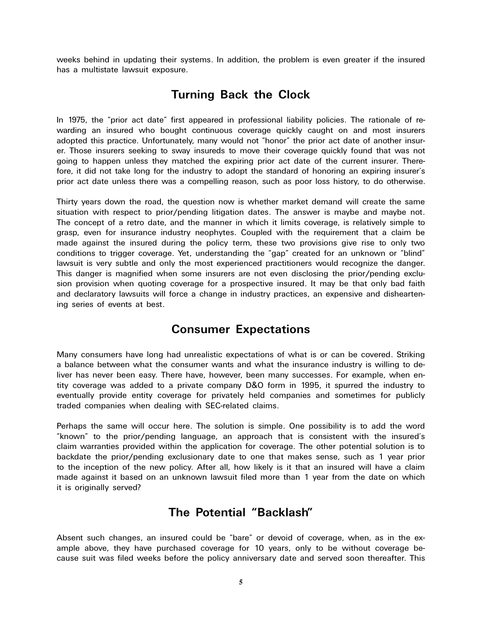weeks behind in updating their systems. In addition, the problem is even greater if the insured has a multistate lawsuit exposure.

# **Turning Back the Clock**

In 1975, the "prior act date" first appeared in professional liability policies. The rationale of rewarding an insured who bought continuous coverage quickly caught on and most insurers adopted this practice. Unfortunately, many would not "honor" the prior act date of another insurer. Those insurers seeking to sway insureds to move their coverage quickly found that was not going to happen unless they matched the expiring prior act date of the current insurer. Therefore, it did not take long for the industry to adopt the standard of honoring an expiring insurer's prior act date unless there was a compelling reason, such as poor loss history, to do otherwise.

Thirty years down the road, the question now is whether market demand will create the same situation with respect to prior/pending litigation dates. The answer is maybe and maybe not. The concept of a retro date, and the manner in which it limits coverage, is relatively simple to grasp, even for insurance industry neophytes. Coupled with the requirement that a claim be made against the insured during the policy term, these two provisions give rise to only two conditions to trigger coverage. Yet, understanding the "gap" created for an unknown or "blind" lawsuit is very subtle and only the most experienced practitioners would recognize the danger. This danger is magnified when some insurers are not even disclosing the prior/pending exclusion provision when quoting coverage for a prospective insured. It may be that only bad faith and declaratory lawsuits will force a change in industry practices, an expensive and disheartening series of events at best.

## **Consumer Expectations**

Many consumers have long had unrealistic expectations of what is or can be covered. Striking a balance between what the consumer wants and what the insurance industry is willing to deliver has never been easy. There have, however, been many successes. For example, when entity coverage was added to a private company D&O form in 1995, it spurred the industry to eventually provide entity coverage for privately held companies and sometimes for publicly traded companies when dealing with SEC-related claims.

Perhaps the same will occur here. The solution is simple. One possibility is to add the word "known" to the prior/pending language, an approach that is consistent with the insured's claim warranties provided within the application for coverage. The other potential solution is to backdate the prior/pending exclusionary date to one that makes sense, such as 1 year prior to the inception of the new policy. After all, how likely is it that an insured will have a claim made against it based on an unknown lawsuit filed more than 1 year from the date on which it is originally served?

# **The Potential "Backlash"**

Absent such changes, an insured could be "bare" or devoid of coverage, when, as in the example above, they have purchased coverage for 10 years, only to be without coverage because suit was filed weeks before the policy anniversary date and served soon thereafter. This